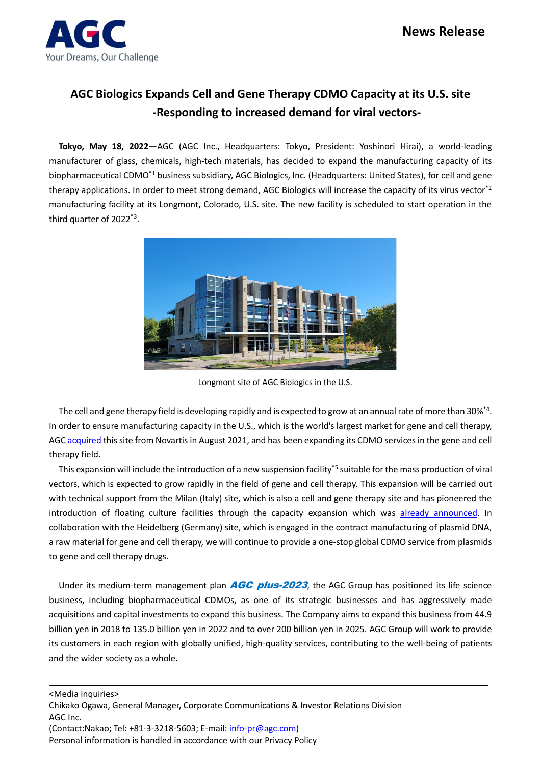

## **AGC Biologics Expands Cell and Gene Therapy CDMO Capacity at its U.S. site -Responding to increased demand for viral vectors-**

**Tokyo, May 18, 2022**—AGC (AGC Inc., Headquarters: Tokyo, President: Yoshinori Hirai), a world-leading manufacturer of glass, chemicals, high-tech materials, has decided to expand the manufacturing capacity of its biopharmaceutical CDMO\*1 business subsidiary, AGC Biologics, Inc. (Headquarters: United States), for cell and gene therapy applications. In order to meet strong demand, AGC Biologics will increase the capacity of its virus vector<sup>\*2</sup> manufacturing facility at its Longmont, Colorado, U.S. site. The new facility is scheduled to start operation in the third quarter of 2022\*3 .



Longmont site of AGC Biologics in the U.S.

The cell and gene therapy field is developing rapidly and is expected to grow at an annual rate of more than 30%\*4 . In order to ensure manufacturing capacity in the U.S., which is the world's largest market for gene and cell therapy, AG[C acquired](https://www.agc.com/en/news/detail/1202250_2814.html) this site from Novartis in August 2021, and has been expanding its CDMO services in the gene and cell therapy field.

This expansion will include the introduction of a new suspension facility<sup>\*5</sup> suitable for the mass production of viral vectors, which is expected to grow rapidly in the field of gene and cell therapy. This expansion will be carried out with technical support from the Milan (Italy) site, which is also a cell and gene therapy site and has pioneered the introduction of floating culture facilities through the capacity expansion which was [already announced.](https://www.agc.com/en/news/detail/1202059_2814.html) In collaboration with the Heidelberg (Germany) site, which is engaged in the contract manufacturing of plasmid DNA, a raw material for gene and cell therapy, we will continue to provide a one-stop global CDMO service from plasmids to gene and cell therapy drugs.

Under its medium-term management plan  $AGC$  plus-2023, the AGC Group has positioned its life science business, including biopharmaceutical CDMOs, as one of its strategic businesses and has aggressively made acquisitions and capital investments to expand this business. The Company aims to expand this business from 44.9 billion yen in 2018 to 135.0 billion yen in 2022 and to over 200 billion yen in 2025. AGC Group will work to provide its customers in each region with globally unified, high-quality services, contributing to the well-being of patients and the wider society as a whole.